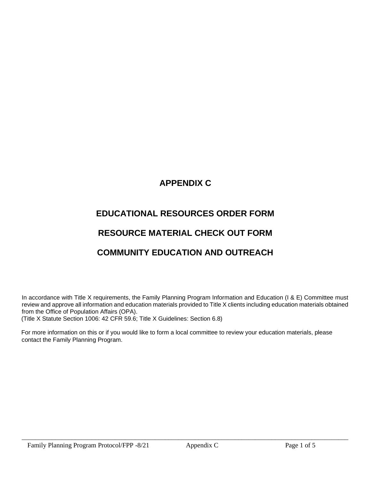# **APPENDIX C**

# **EDUCATIONAL RESOURCES ORDER FORM**

# **RESOURCE MATERIAL CHECK OUT FORM**

# **COMMUNITY EDUCATION AND OUTREACH**

In accordance with Title X requirements, the Family Planning Program Information and Education (I & E) Committee must review and approve all information and education materials provided to Title X clients including education materials obtained from the Office of Population Affairs (OPA).

(Title X Statute Section 1006: 42 CFR 59.6; Title X Guidelines: Section 6.8)

For more information on this or if you would like to form a local committee to review your education materials, please contact the Family Planning Program.

\_\_\_\_\_\_\_\_\_\_\_\_\_\_\_\_\_\_\_\_\_\_\_\_\_\_\_\_\_\_\_\_\_\_\_\_\_\_\_\_\_\_\_\_\_\_\_\_\_\_\_\_\_\_\_\_\_\_\_\_\_\_\_\_\_\_\_\_\_\_\_\_\_\_\_\_\_\_\_\_\_\_\_\_\_\_\_\_\_\_\_\_\_\_\_\_\_\_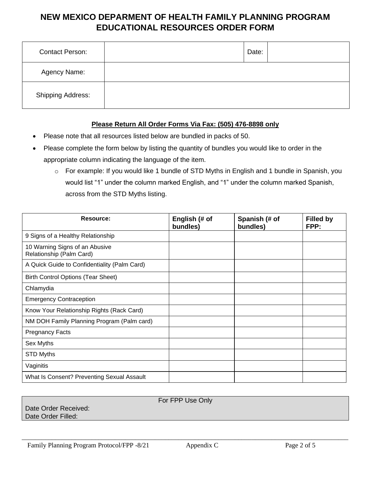## **NEW MEXICO DEPARMENT OF HEALTH FAMILY PLANNING PROGRAM EDUCATIONAL RESOURCES ORDER FORM**

| <b>Contact Person:</b>   | Date: |  |
|--------------------------|-------|--|
| Agency Name:             |       |  |
| <b>Shipping Address:</b> |       |  |

### **Please Return All Order Forms Via Fax: (505) 476-8898 only**

- Please note that all resources listed below are bundled in packs of 50.
- Please complete the form below by listing the quantity of bundles you would like to order in the appropriate column indicating the language of the item.
	- o For example: If you would like 1 bundle of STD Myths in English and 1 bundle in Spanish, you would list "1" under the column marked English, and "1" under the column marked Spanish, across from the STD Myths listing.

| Resource:                                                  | English (# of<br>bundles) | Spanish (# of<br>bundles) | <b>Filled by</b><br>FPP: |
|------------------------------------------------------------|---------------------------|---------------------------|--------------------------|
| 9 Signs of a Healthy Relationship                          |                           |                           |                          |
| 10 Warning Signs of an Abusive<br>Relationship (Palm Card) |                           |                           |                          |
| A Quick Guide to Confidentiality (Palm Card)               |                           |                           |                          |
| <b>Birth Control Options (Tear Sheet)</b>                  |                           |                           |                          |
| Chlamydia                                                  |                           |                           |                          |
| <b>Emergency Contraception</b>                             |                           |                           |                          |
| Know Your Relationship Rights (Rack Card)                  |                           |                           |                          |
| NM DOH Family Planning Program (Palm card)                 |                           |                           |                          |
| <b>Pregnancy Facts</b>                                     |                           |                           |                          |
| Sex Myths                                                  |                           |                           |                          |
| <b>STD Myths</b>                                           |                           |                           |                          |
| Vaginitis                                                  |                           |                           |                          |
| What Is Consent? Preventing Sexual Assault                 |                           |                           |                          |

### For FPP Use Only

\_\_\_\_\_\_\_\_\_\_\_\_\_\_\_\_\_\_\_\_\_\_\_\_\_\_\_\_\_\_\_\_\_\_\_\_\_\_\_\_\_\_\_\_\_\_\_\_\_\_\_\_\_\_\_\_\_\_\_\_\_\_\_\_\_\_\_\_\_\_\_\_\_\_\_\_\_\_\_\_\_\_\_\_\_\_\_\_\_\_\_\_\_\_\_\_\_\_

Date Order Received: Date Order Filled: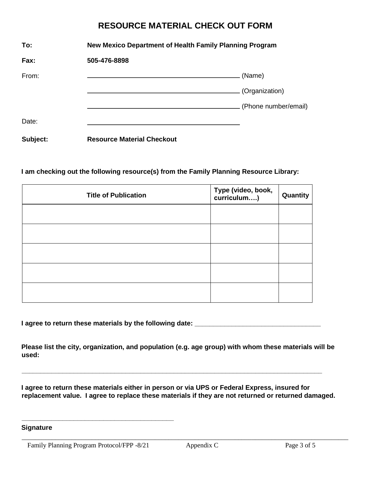## **RESOURCE MATERIAL CHECK OUT FORM**

| To:      | New Mexico Department of Health Family Planning Program |                      |  |
|----------|---------------------------------------------------------|----------------------|--|
| Fax:     | 505-476-8898                                            |                      |  |
| From:    |                                                         | (Name)               |  |
|          |                                                         | (Organization)       |  |
|          |                                                         | (Phone number/email) |  |
| Date:    |                                                         |                      |  |
| Subject: | <b>Resource Material Checkout</b>                       |                      |  |

### **I am checking out the following resource(s) from the Family Planning Resource Library:**

| <b>Title of Publication</b> | Type (video, book,<br>curriculum) | Quantity |
|-----------------------------|-----------------------------------|----------|
|                             |                                   |          |
|                             |                                   |          |
|                             |                                   |          |
|                             |                                   |          |
|                             |                                   |          |

**I agree to return these materials by the following date: \_\_\_\_\_\_\_\_\_\_\_\_\_\_\_\_\_\_\_\_\_\_\_\_\_\_\_\_\_\_\_\_\_\_**

**Please list the city, organization, and population (e.g. age group) with whom these materials will be used:**

**\_\_\_\_\_\_\_\_\_\_\_\_\_\_\_\_\_\_\_\_\_\_\_\_\_\_\_\_\_\_\_\_\_\_\_\_\_\_\_\_\_\_\_\_\_\_\_\_\_\_\_\_\_\_\_\_\_\_\_\_\_\_\_\_\_\_\_\_\_\_\_\_\_\_\_\_\_\_\_\_\_**

**I agree to return these materials either in person or via UPS or Federal Express, insured for replacement value. I agree to replace these materials if they are not returned or returned damaged.**

\_\_\_\_\_\_\_\_\_\_\_\_\_\_\_\_\_\_\_\_\_\_\_\_\_\_\_\_\_\_\_\_\_\_\_\_\_\_\_\_\_\_\_\_\_\_\_\_\_\_\_\_\_\_\_\_\_\_\_\_\_\_\_\_\_\_\_\_\_\_\_\_\_\_\_\_\_\_\_\_\_\_\_\_\_\_\_\_\_\_\_\_\_\_\_\_\_\_

**Signature**

Family Planning Program Protocol/FPP -8/21 Appendix C Page 3 of 5

**\_\_\_\_\_\_\_\_\_\_\_\_\_\_\_\_\_\_\_\_\_\_\_\_\_\_\_\_\_\_\_\_\_\_\_\_\_\_\_\_\_**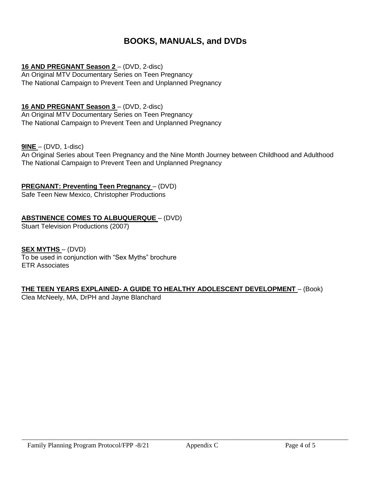## **BOOKS, MANUALS, and DVDs**

## **16 AND PREGNANT Season 2** – (DVD, 2-disc)

An Original MTV Documentary Series on Teen Pregnancy The National Campaign to Prevent Teen and Unplanned Pregnancy

## **16 AND PREGNANT Season 3** – (DVD, 2-disc)

An Original MTV Documentary Series on Teen Pregnancy The National Campaign to Prevent Teen and Unplanned Pregnancy

### **9INE** – (DVD, 1-disc)

An Original Series about Teen Pregnancy and the Nine Month Journey between Childhood and Adulthood The National Campaign to Prevent Teen and Unplanned Pregnancy

### **PREGNANT: Preventing Teen Pregnancy** – (DVD)

Safe Teen New Mexico, Christopher Productions

### **ABSTINENCE COMES TO ALBUQUERQUE** – (DVD)

Stuart Television Productions (2007)

### **SEX MYTHS** – (DVD)

To be used in conjunction with "Sex Myths" brochure ETR Associates

### **THE TEEN YEARS EXPLAINED- A GUIDE TO HEALTHY ADOLESCENT DEVELOPMENT** – (Book)

Clea McNeely, MA, DrPH and Jayne Blanchard

\_\_\_\_\_\_\_\_\_\_\_\_\_\_\_\_\_\_\_\_\_\_\_\_\_\_\_\_\_\_\_\_\_\_\_\_\_\_\_\_\_\_\_\_\_\_\_\_\_\_\_\_\_\_\_\_\_\_\_\_\_\_\_\_\_\_\_\_\_\_\_\_\_\_\_\_\_\_\_\_\_\_\_\_\_\_\_\_\_\_\_\_\_\_\_\_\_\_